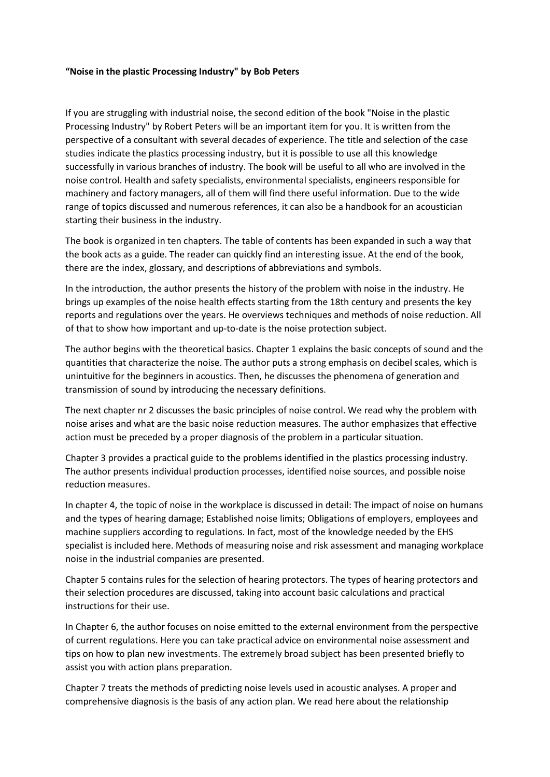## **"Noise in the plastic Processing Industry" by Bob Peters**

If you are struggling with industrial noise, the second edition of the book "Noise in the plastic Processing Industry" by Robert Peters will be an important item for you. It is written from the perspective of a consultant with several decades of experience. The title and selection of the case studies indicate the plastics processing industry, but it is possible to use all this knowledge successfully in various branches of industry. The book will be useful to all who are involved in the noise control. Health and safety specialists, environmental specialists, engineers responsible for machinery and factory managers, all of them will find there useful information. Due to the wide range of topics discussed and numerous references, it can also be a handbook for an acoustician starting their business in the industry.

The book is organized in ten chapters. The table of contents has been expanded in such a way that the book acts as a guide. The reader can quickly find an interesting issue. At the end of the book, there are the index, glossary, and descriptions of abbreviations and symbols.

In the introduction, the author presents the history of the problem with noise in the industry. He brings up examples of the noise health effects starting from the 18th century and presents the key reports and regulations over the years. He overviews techniques and methods of noise reduction. All of that to show how important and up-to-date is the noise protection subject.

The author begins with the theoretical basics. Chapter 1 explains the basic concepts of sound and the quantities that characterize the noise. The author puts a strong emphasis on decibel scales, which is unintuitive for the beginners in acoustics. Then, he discusses the phenomena of generation and transmission of sound by introducing the necessary definitions.

The next chapter nr 2 discusses the basic principles of noise control. We read why the problem with noise arises and what are the basic noise reduction measures. The author emphasizes that effective action must be preceded by a proper diagnosis of the problem in a particular situation.

Chapter 3 provides a practical guide to the problems identified in the plastics processing industry. The author presents individual production processes, identified noise sources, and possible noise reduction measures.

In chapter 4, the topic of noise in the workplace is discussed in detail: The impact of noise on humans and the types of hearing damage; Established noise limits; Obligations of employers, employees and machine suppliers according to regulations. In fact, most of the knowledge needed by the EHS specialist is included here. Methods of measuring noise and risk assessment and managing workplace noise in the industrial companies are presented.

Chapter 5 contains rules for the selection of hearing protectors. The types of hearing protectors and their selection procedures are discussed, taking into account basic calculations and practical instructions for their use.

In Chapter 6, the author focuses on noise emitted to the external environment from the perspective of current regulations. Here you can take practical advice on environmental noise assessment and tips on how to plan new investments. The extremely broad subject has been presented briefly to assist you with action plans preparation.

Chapter 7 treats the methods of predicting noise levels used in acoustic analyses. A proper and comprehensive diagnosis is the basis of any action plan. We read here about the relationship